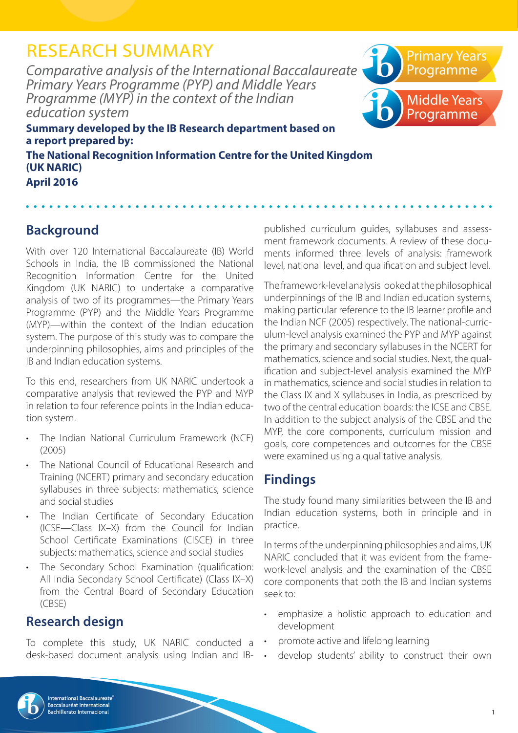# RESEARCH SUMMARY

*Comparative analysis of the International Baccalaureate Primary Years Programme (PYP) and Middle Years Programme (MYP) in the context of the Indian education system*



**Summary developed by the IB Research department based on a report prepared by: The National Recognition Information Centre for the United Kingdom (UK NARIC)**

**April 2016**

### **Background**

With over 120 International Baccalaureate (IB) World Schools in India, the IB commissioned the National Recognition Information Centre for the United Kingdom (UK NARIC) to undertake a comparative analysis of two of its programmes—the Primary Years Programme (PYP) and the Middle Years Programme (MYP)—within the context of the Indian education system. The purpose of this study was to compare the underpinning philosophies, aims and principles of the IB and Indian education systems.

To this end, researchers from UK NARIC undertook a comparative analysis that reviewed the PYP and MYP in relation to four reference points in the Indian education system.

- The Indian National Curriculum Framework (NCF) (2005)
- The National Council of Educational Research and Training (NCERT) primary and secondary education syllabuses in three subjects: mathematics, science and social studies
- The Indian Certificate of Secondary Education (ICSE—Class IX–X) from the Council for Indian School Certificate Examinations (CISCE) in three subjects: mathematics, science and social studies
- The Secondary School Examination (qualification: All India Secondary School Certificate) (Class IX–X) from the Central Board of Secondary Education (CBSE)

### **Research design**

To complete this study, UK NARIC conducted a desk-based document analysis using Indian and IB- published curriculum guides, syllabuses and assessment framework documents. A review of these documents informed three levels of analysis: framework level, national level, and qualification and subject level.

The framework-level analysis looked at the philosophical underpinnings of the IB and Indian education systems, making particular reference to the IB learner profile and the Indian NCF (2005) respectively. The national-curriculum-level analysis examined the PYP and MYP against the primary and secondary syllabuses in the NCERT for mathematics, science and social studies. Next, the qualification and subject-level analysis examined the MYP in mathematics, science and social studies in relation to the Class IX and X syllabuses in India, as prescribed by two of the central education boards: the ICSE and CBSE. In addition to the subject analysis of the CBSE and the MYP, the core components, curriculum mission and goals, core competences and outcomes for the CBSE were examined using a qualitative analysis.

## **Findings**

The study found many similarities between the IB and Indian education systems, both in principle and in practice.

In terms of the underpinning philosophies and aims, UK NARIC concluded that it was evident from the framework-level analysis and the examination of the CBSE core components that both the IB and Indian systems seek to:

- emphasize a holistic approach to education and development
- promote active and lifelong learning
- develop students' ability to construct their own

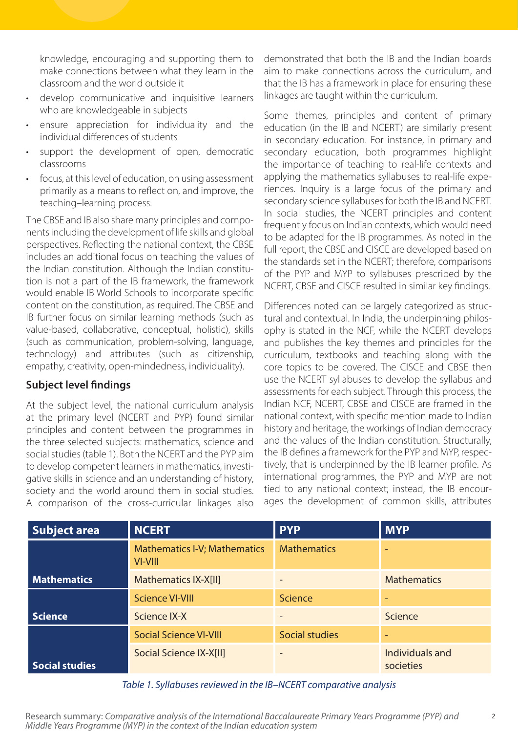knowledge, encouraging and supporting them to make connections between what they learn in the classroom and the world outside it

- develop communicative and inquisitive learners who are knowledgeable in subjects
- ensure appreciation for individuality and the individual differences of students
- support the development of open, democratic classrooms
- focus, at this level of education, on using assessment primarily as a means to reflect on, and improve, the teaching–learning process.

The CBSE and IB also share many principles and components including the development of life skills and global perspectives. Reflecting the national context, the CBSE includes an additional focus on teaching the values of the Indian constitution. Although the Indian constitution is not a part of the IB framework, the framework would enable IB World Schools to incorporate specific content on the constitution, as required. The CBSE and IB further focus on similar learning methods (such as value-based, collaborative, conceptual, holistic), skills (such as communication, problem-solving, language, technology) and attributes (such as citizenship, empathy, creativity, open-mindedness, individuality).

#### **Subject level findings**

At the subject level, the national curriculum analysis at the primary level (NCERT and PYP) found similar principles and content between the programmes in the three selected subjects: mathematics, science and social studies (table 1). Both the NCERT and the PYP aim to develop competent learners in mathematics, investigative skills in science and an understanding of history, society and the world around them in social studies. A comparison of the cross-curricular linkages also demonstrated that both the IB and the Indian boards aim to make connections across the curriculum, and that the IB has a framework in place for ensuring these linkages are taught within the curriculum.

Some themes, principles and content of primary education (in the IB and NCERT) are similarly present in secondary education. For instance, in primary and secondary education, both programmes highlight the importance of teaching to real-life contexts and applying the mathematics syllabuses to real-life experiences. Inquiry is a large focus of the primary and secondary science syllabuses for both the IB and NCERT. In social studies, the NCERT principles and content frequently focus on Indian contexts, which would need to be adapted for the IB programmes. As noted in the full report, the CBSE and CISCE are developed based on the standards set in the NCERT; therefore, comparisons of the PYP and MYP to syllabuses prescribed by the NCERT, CBSE and CISCE resulted in similar key findings.

Differences noted can be largely categorized as structural and contextual. In India, the underpinning philosophy is stated in the NCF, while the NCERT develops and publishes the key themes and principles for the curriculum, textbooks and teaching along with the core topics to be covered. The CISCE and CBSE then use the NCERT syllabuses to develop the syllabus and assessments for each subject. Through this process, the Indian NCF, NCERT, CBSE and CISCE are framed in the national context, with specific mention made to Indian history and heritage, the workings of Indian democracy and the values of the Indian constitution. Structurally, the IB defines a framework for the PYP and MYP, respectively, that is underpinned by the IB learner profile. As international programmes, the PYP and MYP are not tied to any national context; instead, the IB encourages the development of common skills, attributes

| <b>Subject area</b>   | <b>NCERT</b>                                   | <b>PYP</b>            | <b>MYP</b>                   |
|-----------------------|------------------------------------------------|-----------------------|------------------------------|
|                       | <b>Mathematics I-V; Mathematics</b><br>VI-VIII | <b>Mathematics</b>    |                              |
| <b>Mathematics</b>    | Mathematics IX-X[II]                           |                       | <b>Mathematics</b>           |
|                       | <b>Science VI-VIII</b>                         | <b>Science</b>        |                              |
| Science               | Science IX-X                                   |                       | Science                      |
|                       | <b>Social Science VI-VIII</b>                  | <b>Social studies</b> |                              |
| <b>Social studies</b> | Social Science IX-X[II]                        |                       | Individuals and<br>societies |

*Table 1. Syllabuses reviewed in the IB–NCERT comparative analysis*